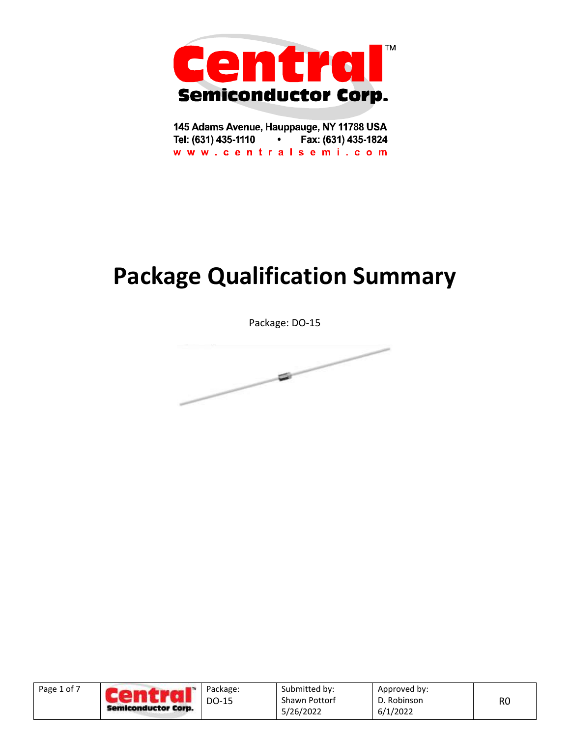

145 Adams Avenue, Hauppauge, NY 11788 USA Tel: (631) 435-1110 • Fax: (631) 435-1824 www.centralsemi.com

# **Package Qualification Summary**

Package: DO-15



| Page 1 of 7 | 1<br>Semiconductor Corp. | Package:<br>DO-15 | Submitted by:<br>Shawn Pottorf | Approved by:<br>D. Robinson | RO |
|-------------|--------------------------|-------------------|--------------------------------|-----------------------------|----|
|             |                          |                   | 5/26/2022                      | 6/1/2022                    |    |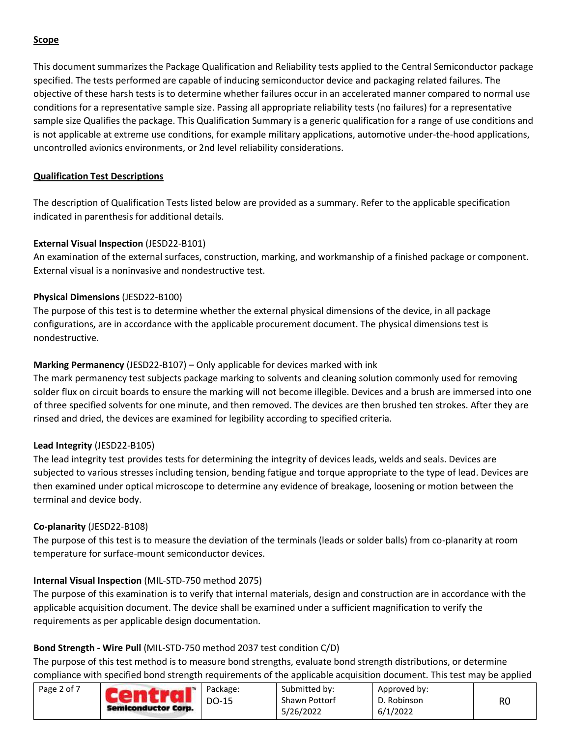# **Scope**

This document summarizes the Package Qualification and Reliability tests applied to the Central Semiconductor package specified. The tests performed are capable of inducing semiconductor device and packaging related failures. The objective of these harsh tests is to determine whether failures occur in an accelerated manner compared to normal use conditions for a representative sample size. Passing all appropriate reliability tests (no failures) for a representative sample size Qualifies the package. This Qualification Summary is a generic qualification for a range of use conditions and is not applicable at extreme use conditions, for example military applications, automotive under-the-hood applications, uncontrolled avionics environments, or 2nd level reliability considerations.

# **Qualification Test Descriptions**

The description of Qualification Tests listed below are provided as a summary. Refer to the applicable specification indicated in parenthesis for additional details.

# **External Visual Inspection** (JESD22-B101)

An examination of the external surfaces, construction, marking, and workmanship of a finished package or component. External visual is a noninvasive and nondestructive test.

# **Physical Dimensions** (JESD22-B100)

The purpose of this test is to determine whether the external physical dimensions of the device, in all package configurations, are in accordance with the applicable procurement document. The physical dimensions test is nondestructive.

# **Marking Permanency** (JESD22-B107) – Only applicable for devices marked with ink

The mark permanency test subjects package marking to solvents and cleaning solution commonly used for removing solder flux on circuit boards to ensure the marking will not become illegible. Devices and a brush are immersed into one of three specified solvents for one minute, and then removed. The devices are then brushed ten strokes. After they are rinsed and dried, the devices are examined for legibility according to specified criteria.

#### **Lead Integrity** (JESD22-B105)

The lead integrity test provides tests for determining the integrity of devices leads, welds and seals. Devices are subjected to various stresses including tension, bending fatigue and torque appropriate to the type of lead. Devices are then examined under optical microscope to determine any evidence of breakage, loosening or motion between the terminal and device body.

#### **Co-planarity** (JESD22-B108)

The purpose of this test is to measure the deviation of the terminals (leads or solder balls) from co-planarity at room temperature for surface-mount semiconductor devices.

# **Internal Visual Inspection** (MIL-STD-750 method 2075)

The purpose of this examination is to verify that internal materials, design and construction are in accordance with the applicable acquisition document. The device shall be examined under a sufficient magnification to verify the requirements as per applicable design documentation.

#### **Bond Strength - Wire Pull** (MIL-STD-750 method 2037 test condition C/D)

The purpose of this test method is to measure bond strengths, evaluate bond strength distributions, or determine compliance with specified bond strength requirements of the applicable acquisition document. This test may be applied

| Page 2 of 7<br>Semiconductor Corp. | Package:<br>DO-15 | Submitted by:<br><b>Shawn Pottorf</b><br>5/26/2022 | Approved by:<br>D. Robinson<br>6/1/2022 | R0 |
|------------------------------------|-------------------|----------------------------------------------------|-----------------------------------------|----|
|                                    |                   |                                                    |                                         |    |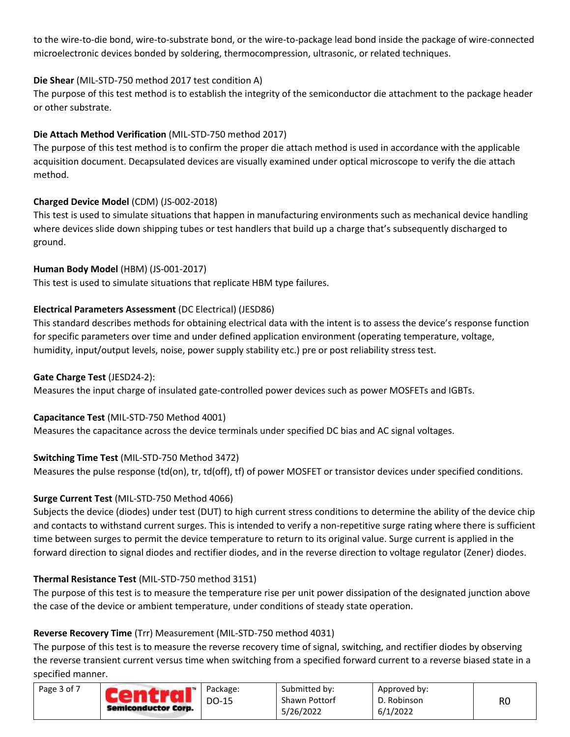to the wire-to-die bond, wire-to-substrate bond, or the wire-to-package lead bond inside the package of wire-connected microelectronic devices bonded by soldering, thermocompression, ultrasonic, or related techniques.

# **Die Shear** (MIL-STD-750 method 2017 test condition A)

The purpose of this test method is to establish the integrity of the semiconductor die attachment to the package header or other substrate.

# **Die Attach Method Verification** (MIL-STD-750 method 2017)

The purpose of this test method is to confirm the proper die attach method is used in accordance with the applicable acquisition document. Decapsulated devices are visually examined under optical microscope to verify the die attach method.

# **Charged Device Model** (CDM) (JS-002-2018)

This test is used to simulate situations that happen in manufacturing environments such as mechanical device handling where devices slide down shipping tubes or test handlers that build up a charge that's subsequently discharged to ground.

# **Human Body Model** (HBM) (JS-001-2017)

This test is used to simulate situations that replicate HBM type failures.

# **Electrical Parameters Assessment** (DC Electrical) (JESD86)

This standard describes methods for obtaining electrical data with the intent is to assess the device's response function for specific parameters over time and under defined application environment (operating temperature, voltage, humidity, input/output levels, noise, power supply stability etc.) pre or post reliability stress test.

#### **Gate Charge Test** (JESD24-2):

Measures the input charge of insulated gate-controlled power devices such as power MOSFETs and IGBTs.

#### **Capacitance Test** (MIL-STD-750 Method 4001)

Measures the capacitance across the device terminals under specified DC bias and AC signal voltages.

# **Switching Time Test** (MIL-STD-750 Method 3472)

Measures the pulse response (td(on), tr, td(off), tf) of power MOSFET or transistor devices under specified conditions.

# **Surge Current Test** (MIL-STD-750 Method 4066)

Subjects the device (diodes) under test (DUT) to high current stress conditions to determine the ability of the device chip and contacts to withstand current surges. This is intended to verify a non-repetitive surge rating where there is sufficient time between surges to permit the device temperature to return to its original value. Surge current is applied in the forward direction to signal diodes and rectifier diodes, and in the reverse direction to voltage regulator (Zener) diodes.

#### **Thermal Resistance Test** (MIL-STD-750 method 3151)

The purpose of this test is to measure the temperature rise per unit power dissipation of the designated junction above the case of the device or ambient temperature, under conditions of steady state operation.

#### **Reverse Recovery Time** (Trr) Measurement (MIL-STD-750 method 4031)

The purpose of this test is to measure the reverse recovery time of signal, switching, and rectifier diodes by observing the reverse transient current versus time when switching from a specified forward current to a reverse biased state in a specified manner.

| Page 3 of 7 | Semiconductor Corp. | Package:<br>DO-15 | Submitted by:<br><b>Shawn Pottorf</b> | Approved by:<br>D. Robinson | R <sub>C</sub> |
|-------------|---------------------|-------------------|---------------------------------------|-----------------------------|----------------|
|             |                     |                   | 5/26/2022                             | 6/1/2022                    |                |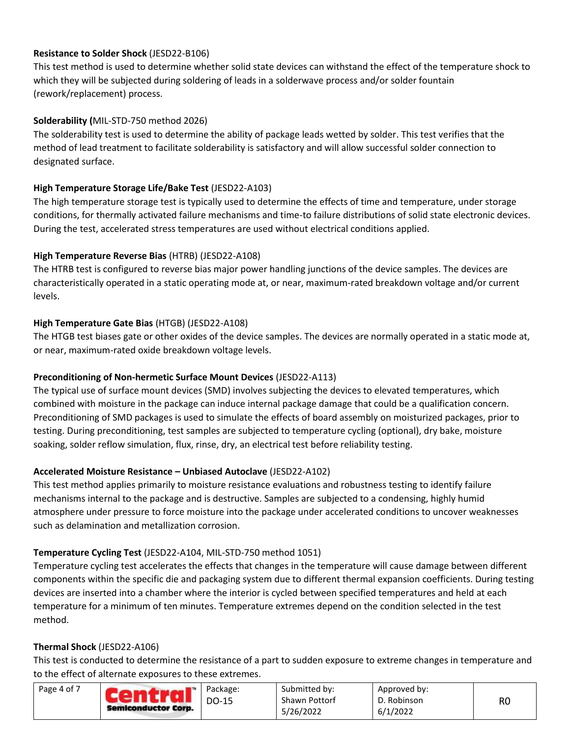# **Resistance to Solder Shock** (JESD22-B106)

This test method is used to determine whether solid state devices can withstand the effect of the temperature shock to which they will be subjected during soldering of leads in a solderwave process and/or solder fountain (rework/replacement) process.

# **Solderability (**MIL-STD-750 method 2026)

The solderability test is used to determine the ability of package leads wetted by solder. This test verifies that the method of lead treatment to facilitate solderability is satisfactory and will allow successful solder connection to designated surface.

# **High Temperature Storage Life/Bake Test** (JESD22-A103)

The high temperature storage test is typically used to determine the effects of time and temperature, under storage conditions, for thermally activated failure mechanisms and time-to failure distributions of solid state electronic devices. During the test, accelerated stress temperatures are used without electrical conditions applied.

# **High Temperature Reverse Bias** (HTRB) (JESD22-A108)

The HTRB test is configured to reverse bias major power handling junctions of the device samples. The devices are characteristically operated in a static operating mode at, or near, maximum-rated breakdown voltage and/or current levels.

# **High Temperature Gate Bias** (HTGB) (JESD22-A108)

The HTGB test biases gate or other oxides of the device samples. The devices are normally operated in a static mode at, or near, maximum-rated oxide breakdown voltage levels.

# **Preconditioning of Non-hermetic Surface Mount Devices** (JESD22-A113)

The typical use of surface mount devices (SMD) involves subjecting the devices to elevated temperatures, which combined with moisture in the package can induce internal package damage that could be a qualification concern. Preconditioning of SMD packages is used to simulate the effects of board assembly on moisturized packages, prior to testing. During preconditioning, test samples are subjected to temperature cycling (optional), dry bake, moisture soaking, solder reflow simulation, flux, rinse, dry, an electrical test before reliability testing.

# **Accelerated Moisture Resistance – Unbiased Autoclave** (JESD22-A102)

This test method applies primarily to moisture resistance evaluations and robustness testing to identify failure mechanisms internal to the package and is destructive. Samples are subjected to a condensing, highly humid atmosphere under pressure to force moisture into the package under accelerated conditions to uncover weaknesses such as delamination and metallization corrosion.

# **Temperature Cycling Test** (JESD22-A104, MIL-STD-750 method 1051)

Temperature cycling test accelerates the effects that changes in the temperature will cause damage between different components within the specific die and packaging system due to different thermal expansion coefficients. During testing devices are inserted into a chamber where the interior is cycled between specified temperatures and held at each temperature for a minimum of ten minutes. Temperature extremes depend on the condition selected in the test method.

#### **Thermal Shock** (JESD22-A106)

This test is conducted to determine the resistance of a part to sudden exposure to extreme changes in temperature and to the effect of alternate exposures to these extremes.

| Page 4 of 7 | <b>CART 1999</b><br>Semiconductor Corp. | Package:<br>DO-15 | Submitted by:<br><b>Shawn Pottorf</b> | Approved by:<br>D. Robinson | R0 |
|-------------|-----------------------------------------|-------------------|---------------------------------------|-----------------------------|----|
|             |                                         |                   | 5/26/2022                             | 6/1/2022                    |    |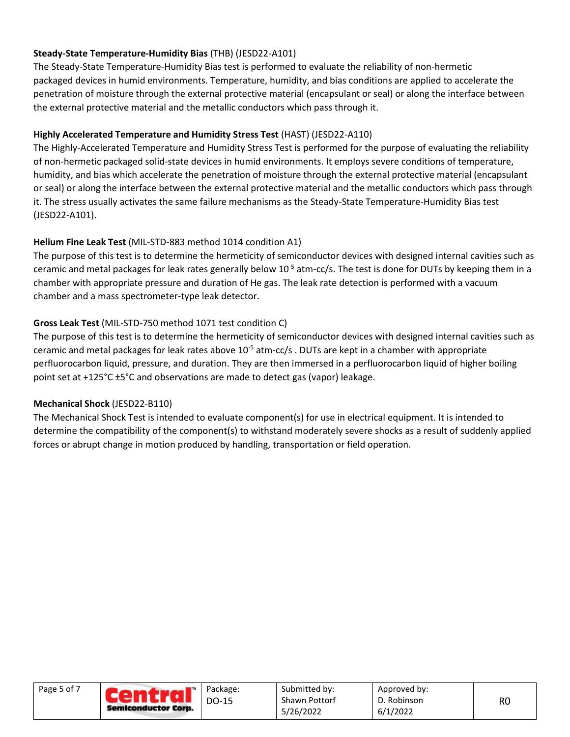# **Steady-State Temperature-Humidity Bias** (THB) (JESD22-A101)

The Steady-State Temperature-Humidity Bias test is performed to evaluate the reliability of non-hermetic packaged devices in humid environments. Temperature, humidity, and bias conditions are applied to accelerate the penetration of moisture through the external protective material (encapsulant or seal) or along the interface between the external protective material and the metallic conductors which pass through it.

# **Highly Accelerated Temperature and Humidity Stress Test** (HAST) (JESD22-A110)

The Highly-Accelerated Temperature and Humidity Stress Test is performed for the purpose of evaluating the reliability of non-hermetic packaged solid-state devices in humid environments. It employs severe conditions of temperature, humidity, and bias which accelerate the penetration of moisture through the external protective material (encapsulant or seal) or along the interface between the external protective material and the metallic conductors which pass through it. The stress usually activates the same failure mechanisms as the Steady-State Temperature-Humidity Bias test (JESD22-A101).

# **Helium Fine Leak Test** (MIL-STD-883 method 1014 condition A1)

The purpose of this test is to determine the hermeticity of semiconductor devices with designed internal cavities such as ceramic and metal packages for leak rates generally below  $10^{-5}$  atm-cc/s. The test is done for DUTs by keeping them in a chamber with appropriate pressure and duration of He gas. The leak rate detection is performed with a vacuum chamber and a mass spectrometer-type leak detector.

# **Gross Leak Test** (MIL-STD-750 method 1071 test condition C)

The purpose of this test is to determine the hermeticity of semiconductor devices with designed internal cavities such as ceramic and metal packages for leak rates above  $10^{-5}$  atm-cc/s . DUTs are kept in a chamber with appropriate perfluorocarbon liquid, pressure, and duration. They are then immersed in a perfluorocarbon liquid of higher boiling point set at +125°C ±5°C and observations are made to detect gas (vapor) leakage.

# **Mechanical Shock** (JESD22-B110)

The Mechanical Shock Test is intended to evaluate component(s) for use in electrical equipment. It is intended to determine the compatibility of the component(s) to withstand moderately severe shocks as a result of suddenly applied forces or abrupt change in motion produced by handling, transportation or field operation.

| Page 5 of 7 | $\mathbf{A}$<br>Semiconductor Corp. | Package:<br>DO-15 | Submitted by:<br>Shawn Pottorf<br>5/26/2022 | Approved by:<br>D. Robinson<br>6/1/2022 | R <sub>0</sub> |
|-------------|-------------------------------------|-------------------|---------------------------------------------|-----------------------------------------|----------------|
|             |                                     |                   |                                             |                                         |                |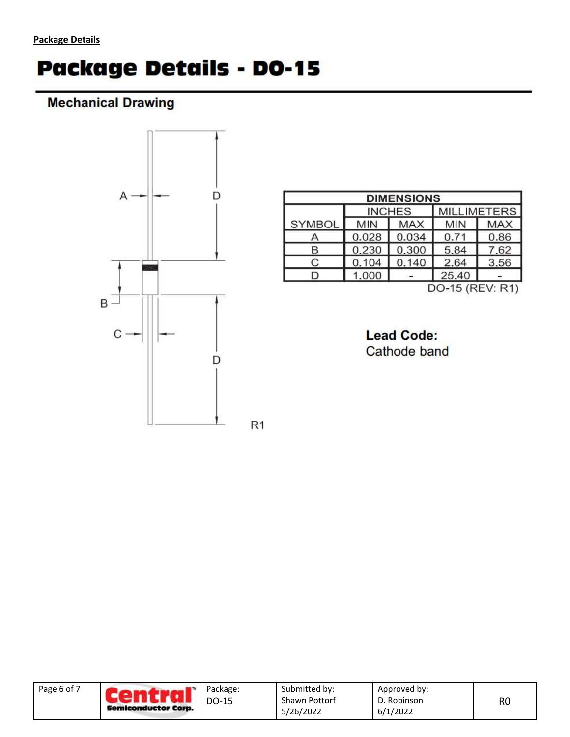# **Package Details - DO-15**

# **Mechanical Drawing**



| <b>DIMENSIONS</b> |            |               |                    |            |  |  |
|-------------------|------------|---------------|--------------------|------------|--|--|
|                   |            | <b>INCHES</b> | <b>MILLIMETERS</b> |            |  |  |
| SYMBOL            | <b>MIN</b> | <b>MAX</b>    | <b>MIN</b>         | <b>MAX</b> |  |  |
| Α                 | 0.028      | 0.034         | 0.71               | 0.86       |  |  |
| В                 | 0.230      | 0.300         | 5.84               | 7.62       |  |  |
| С                 | 0.104      | 0.140         | 2.64               | 3.56       |  |  |
| ר                 | 1.000      |               | 25.40              |            |  |  |
| DO-15 (REV: R1)   |            |               |                    |            |  |  |

**Lead Code:** Cathode band

| Page 6 of 7<br>Semiconductor Corp. | Package:<br>DO-15 | Submitted by:<br><b>Shawn Pottorf</b><br>5/26/2022 | Approved by:<br>D. Robinson<br>6/1/2022 | R <sub>0</sub> |
|------------------------------------|-------------------|----------------------------------------------------|-----------------------------------------|----------------|
|------------------------------------|-------------------|----------------------------------------------------|-----------------------------------------|----------------|